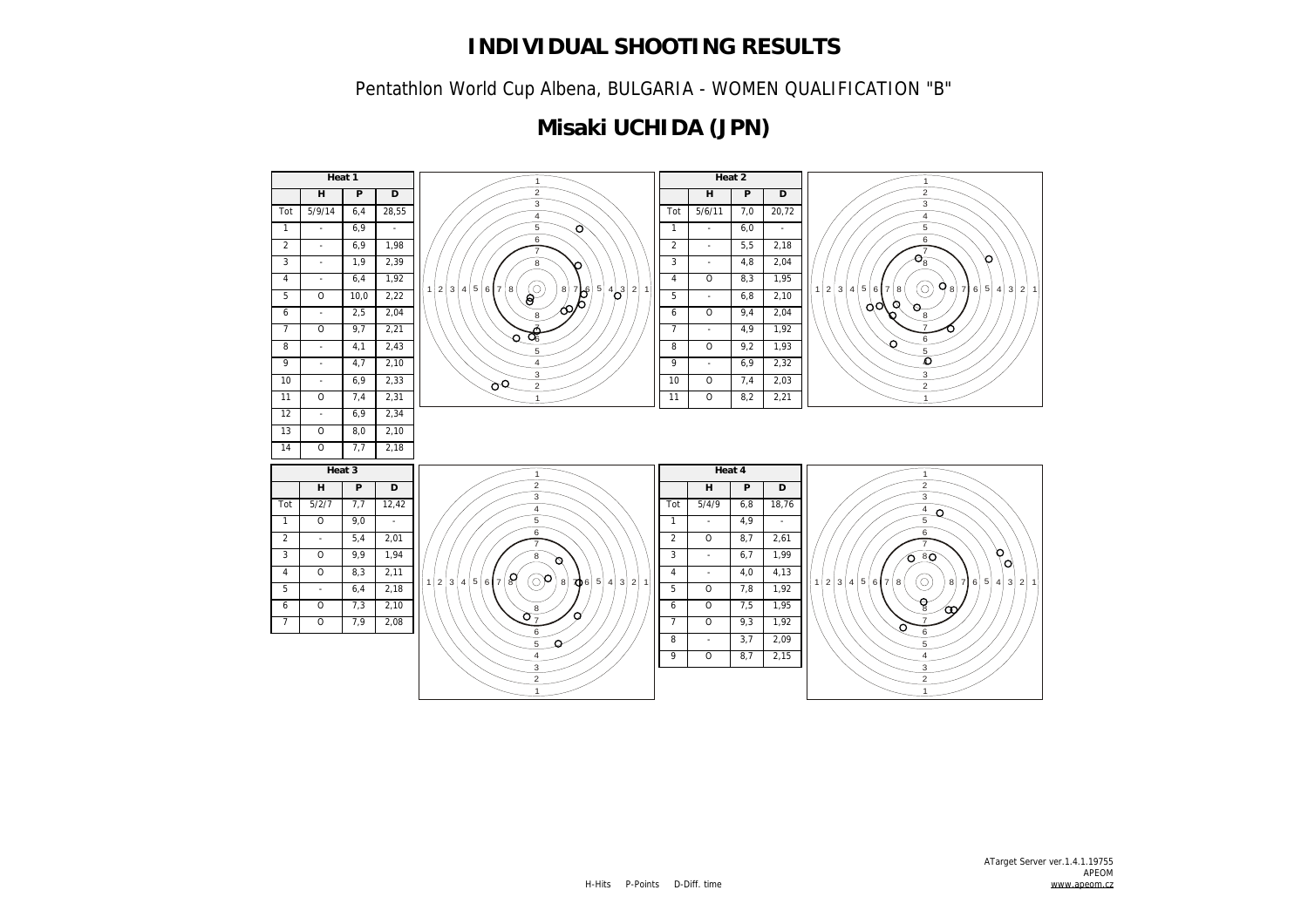Pentathlon World Cup Albena, BULGARIA - WOMEN QUALIFICATION "B"

# **Misaki UCHIDA (JPN)**

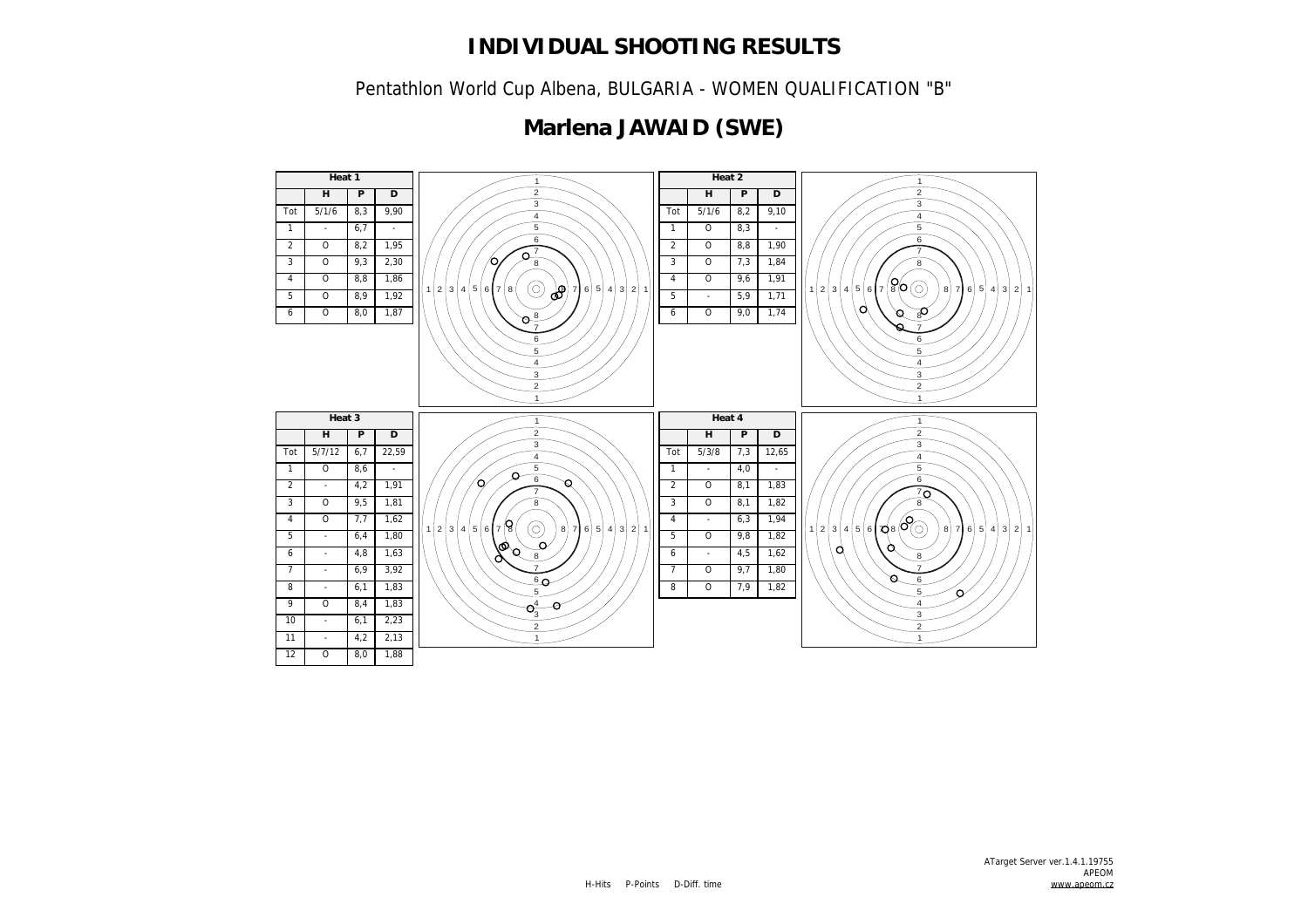Pentathlon World Cup Albena, BULGARIA - WOMEN QUALIFICATION "B"

# **Marlena JAWAID (SWE)**

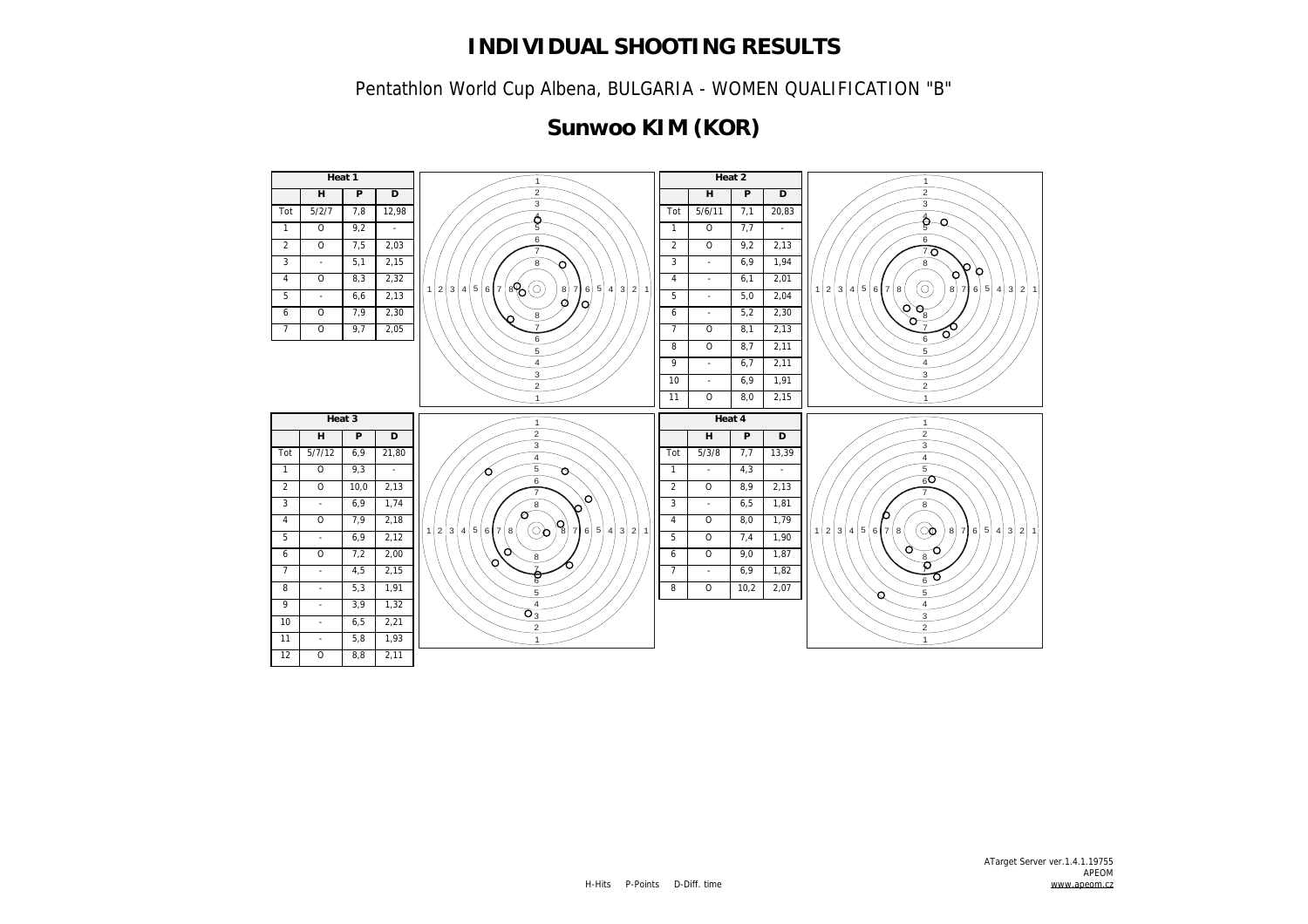Pentathlon World Cup Albena, BULGARIA - WOMEN QUALIFICATION "B"

# **Sunwoo KIM (KOR)**

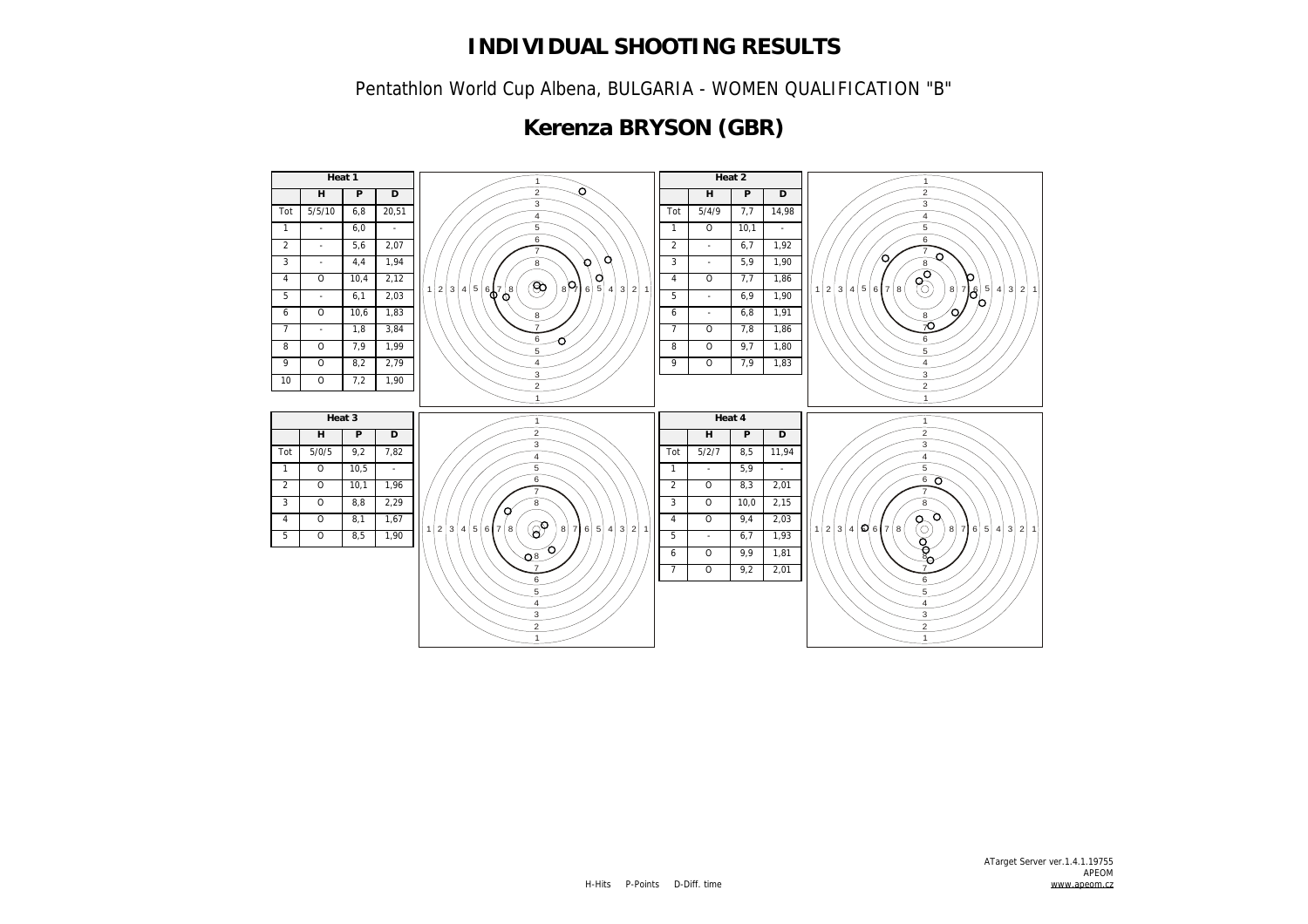Pentathlon World Cup Albena, BULGARIA - WOMEN QUALIFICATION "B"

# **Kerenza BRYSON (GBR)**

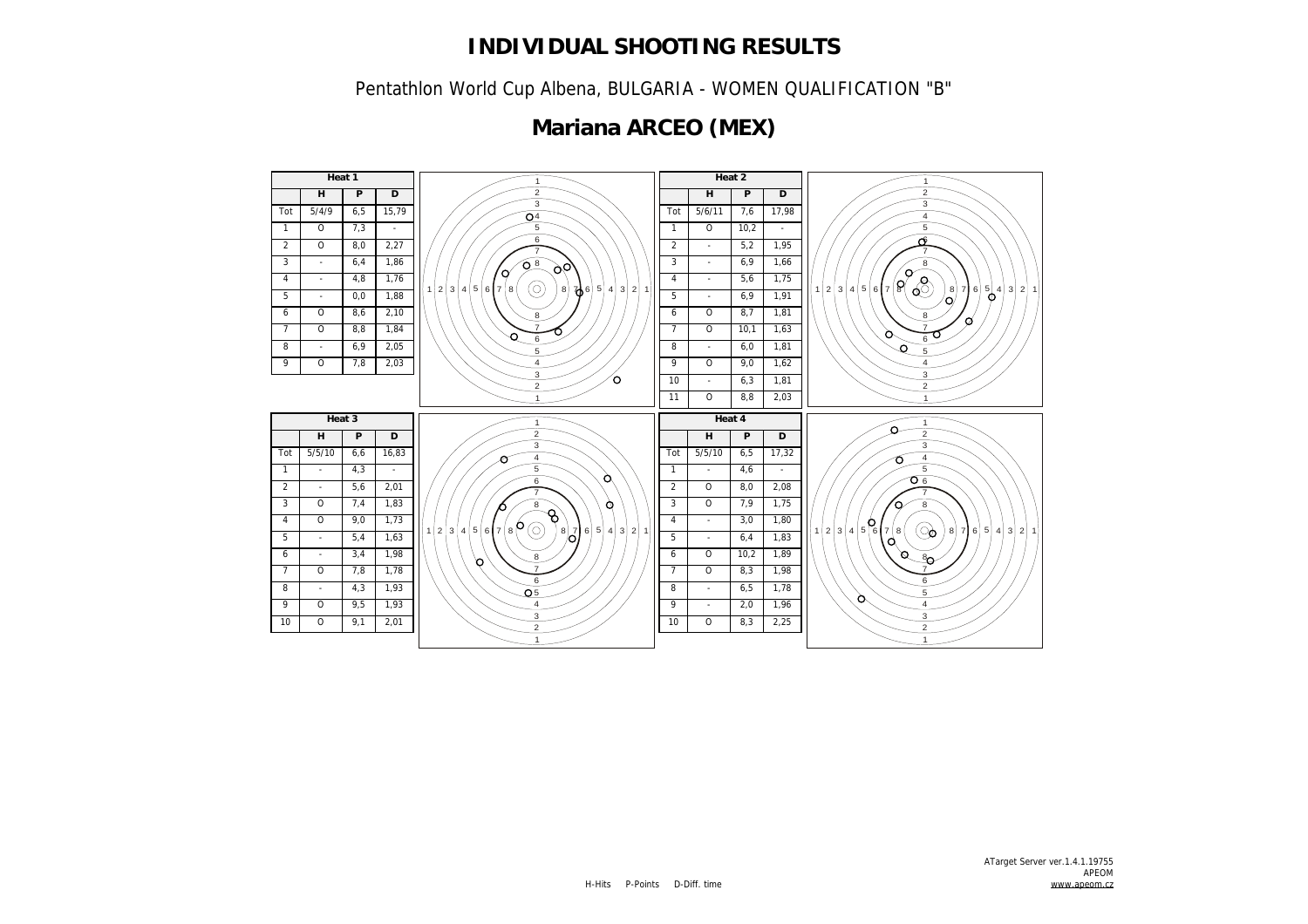Pentathlon World Cup Albena, BULGARIA - WOMEN QUALIFICATION "B"

# **Mariana ARCEO (MEX)**

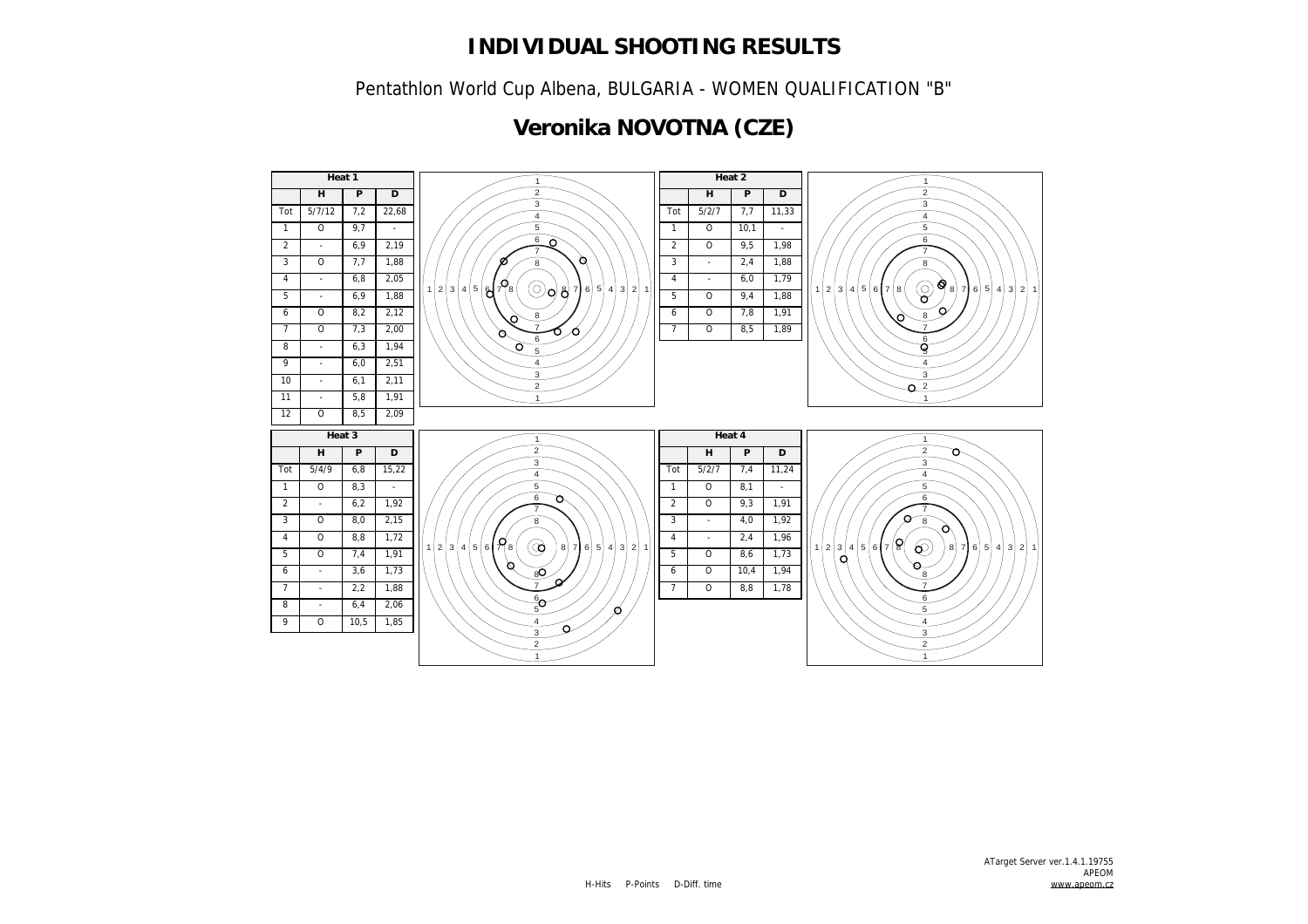Pentathlon World Cup Albena, BULGARIA - WOMEN QUALIFICATION "B"

### **Veronika NOVOTNA (CZE)**

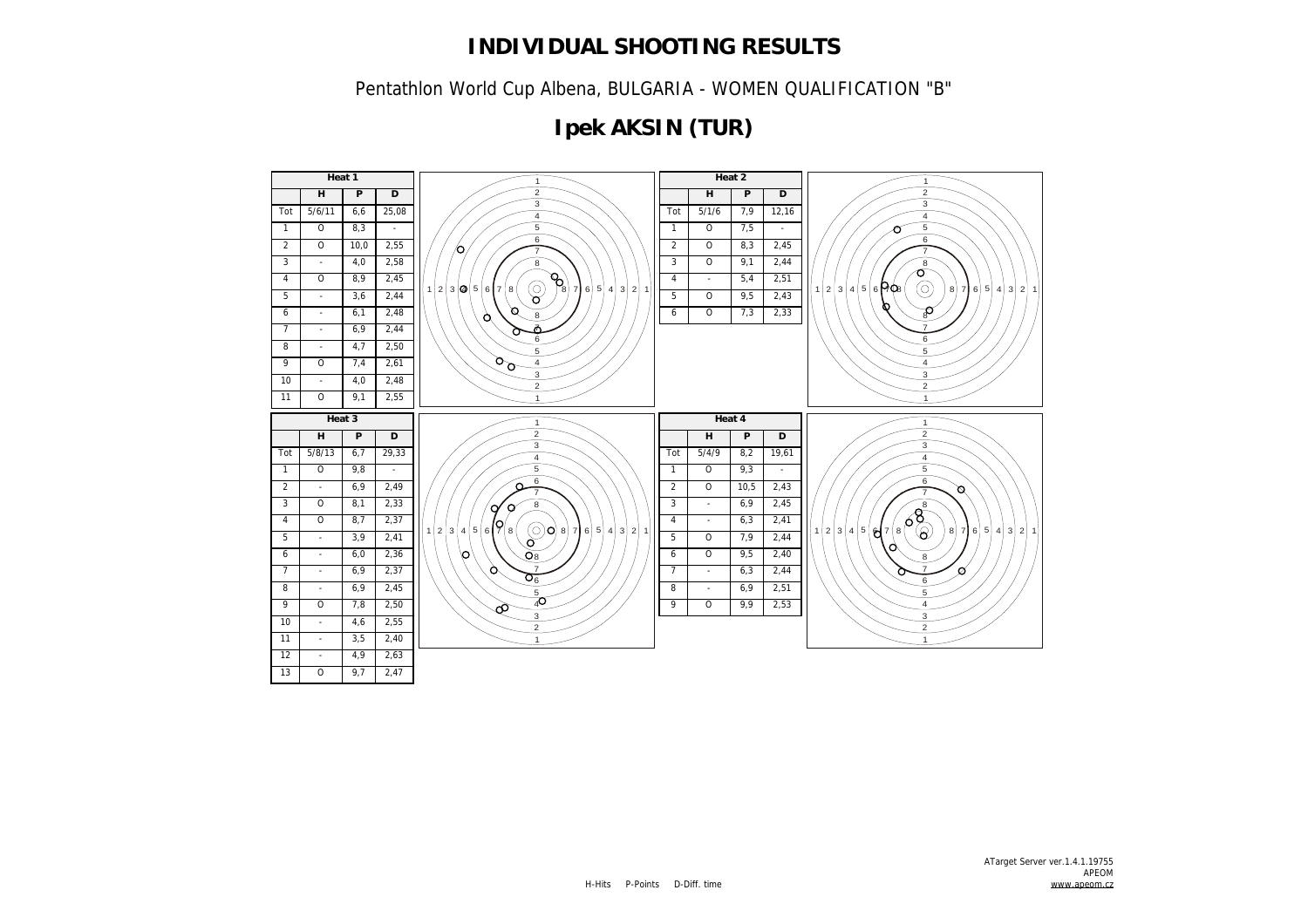Pentathlon World Cup Albena, BULGARIA - WOMEN QUALIFICATION "B"

# **Ipek AKSIN (TUR)**

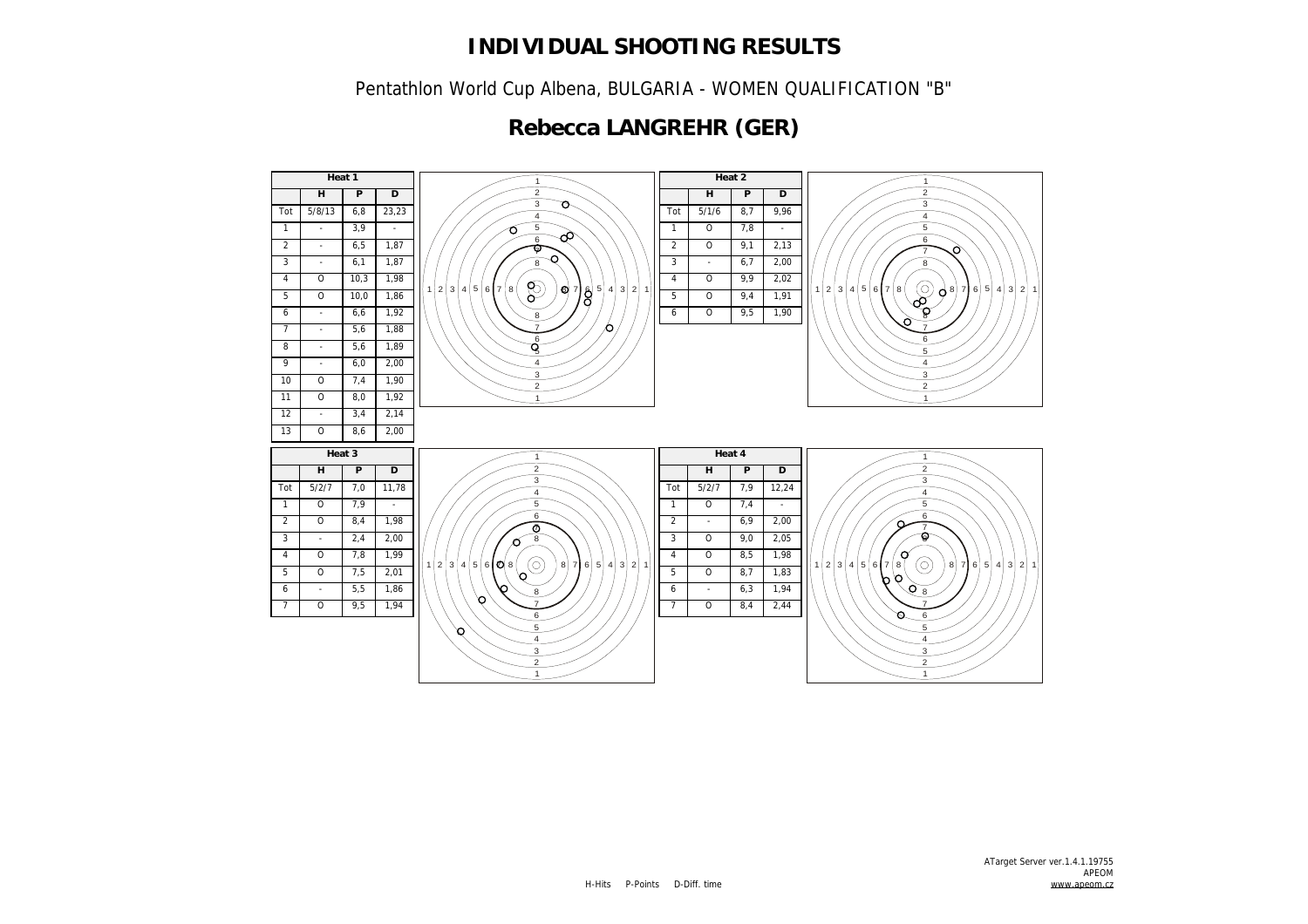Pentathlon World Cup Albena, BULGARIA - WOMEN QUALIFICATION "B"

# **Rebecca LANGREHR (GER)**

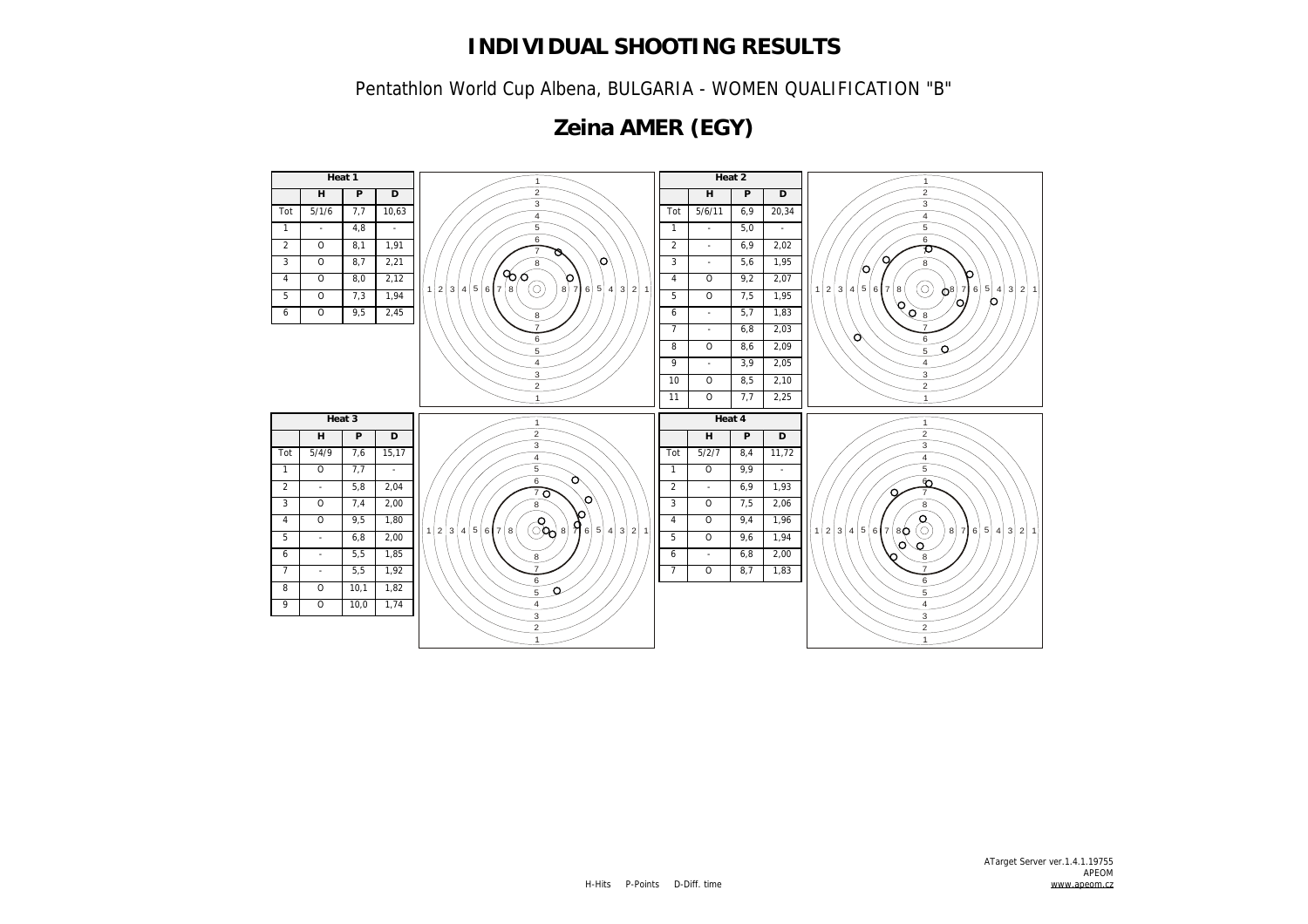Pentathlon World Cup Albena, BULGARIA - WOMEN QUALIFICATION "B"



# **Zeina AMER (EGY)**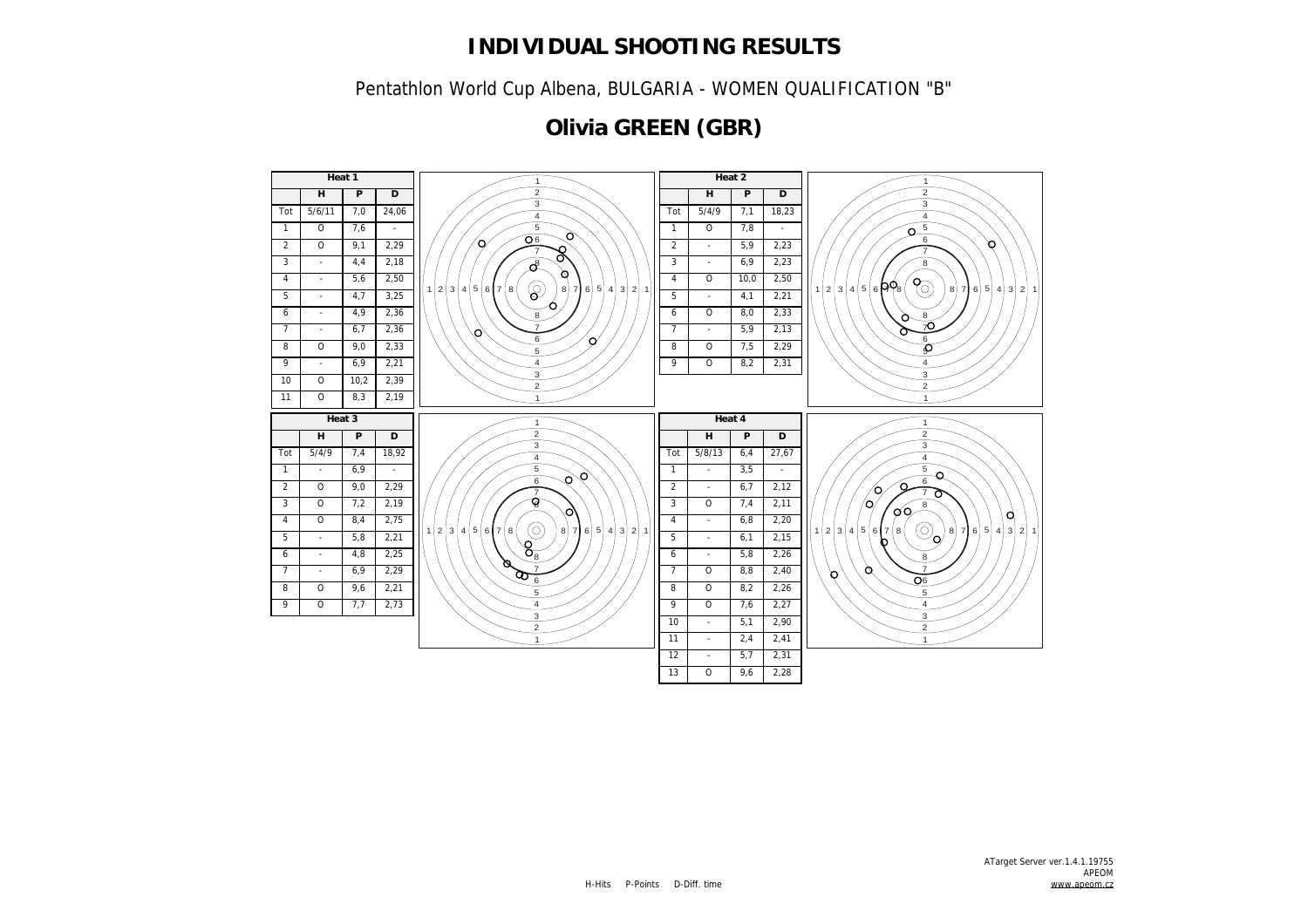Pentathlon World Cup Albena, BULGARIA - WOMEN QUALIFICATION "B"

# **Olivia GREEN (GBR)**

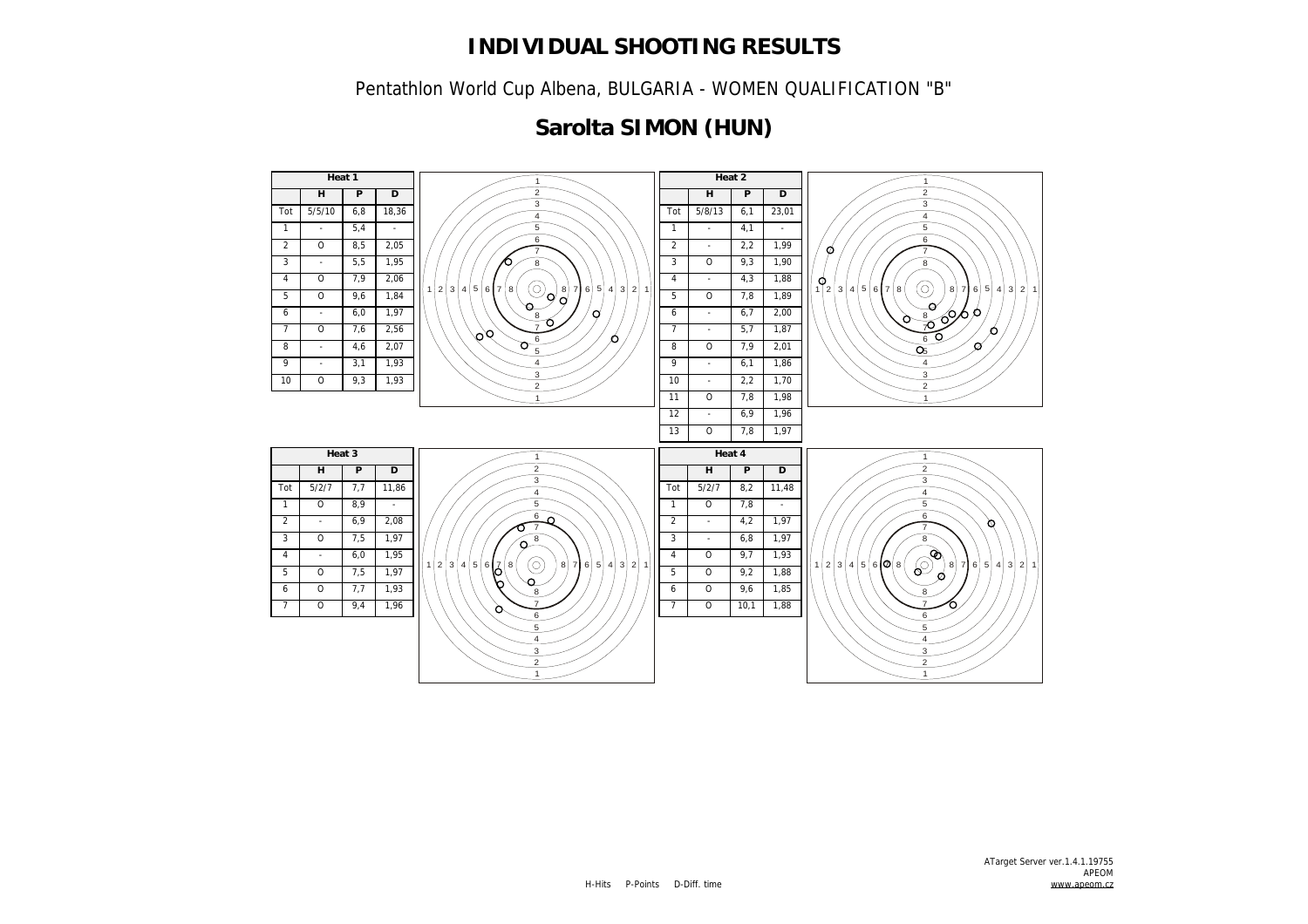Pentathlon World Cup Albena, BULGARIA - WOMEN QUALIFICATION "B"

# **Sarolta SIMON (HUN)**

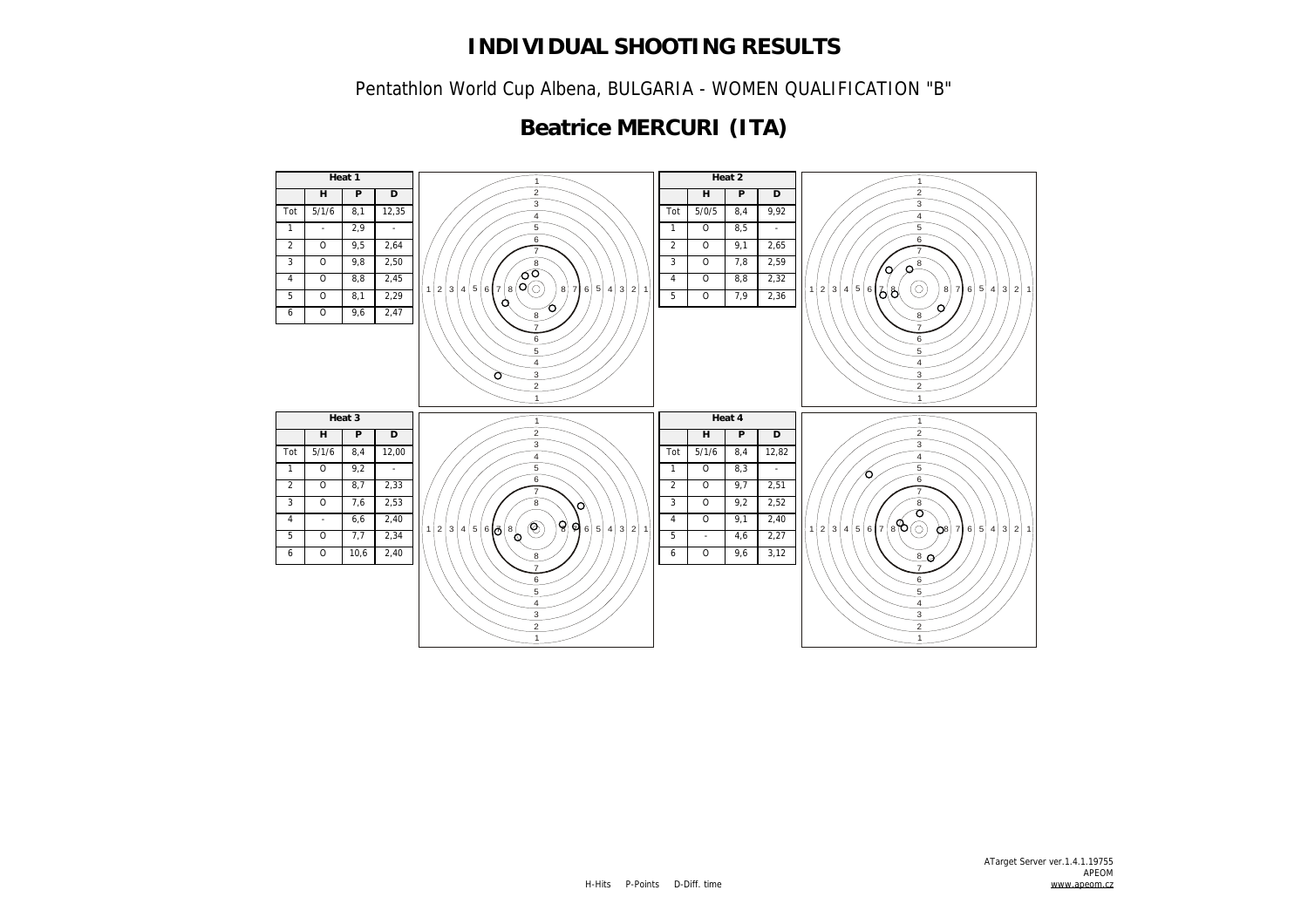Pentathlon World Cup Albena, BULGARIA - WOMEN QUALIFICATION "B"

# **Beatrice MERCURI (ITA)**

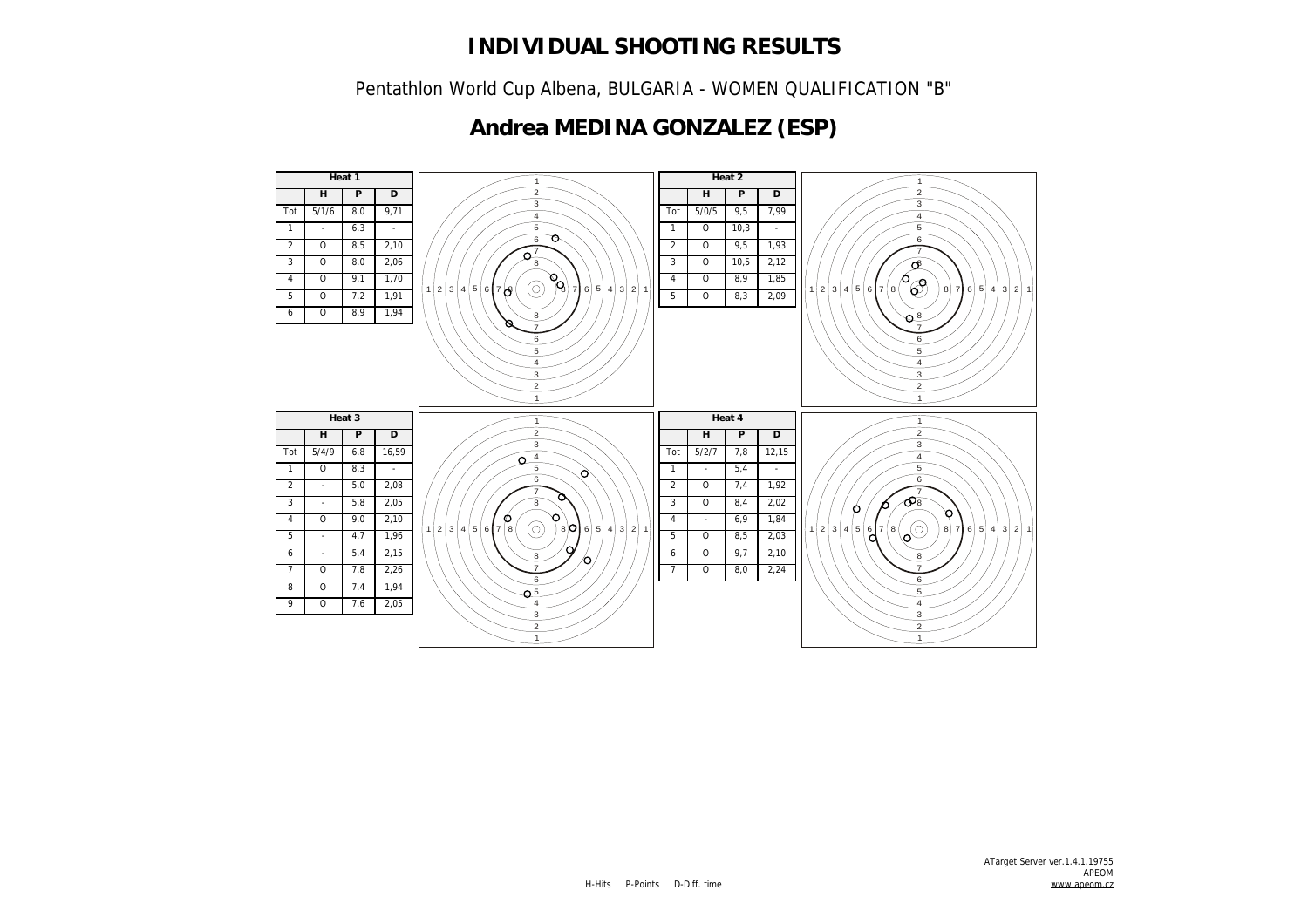Pentathlon World Cup Albena, BULGARIA - WOMEN QUALIFICATION "B"

## **Andrea MEDINA GONZALEZ (ESP)**

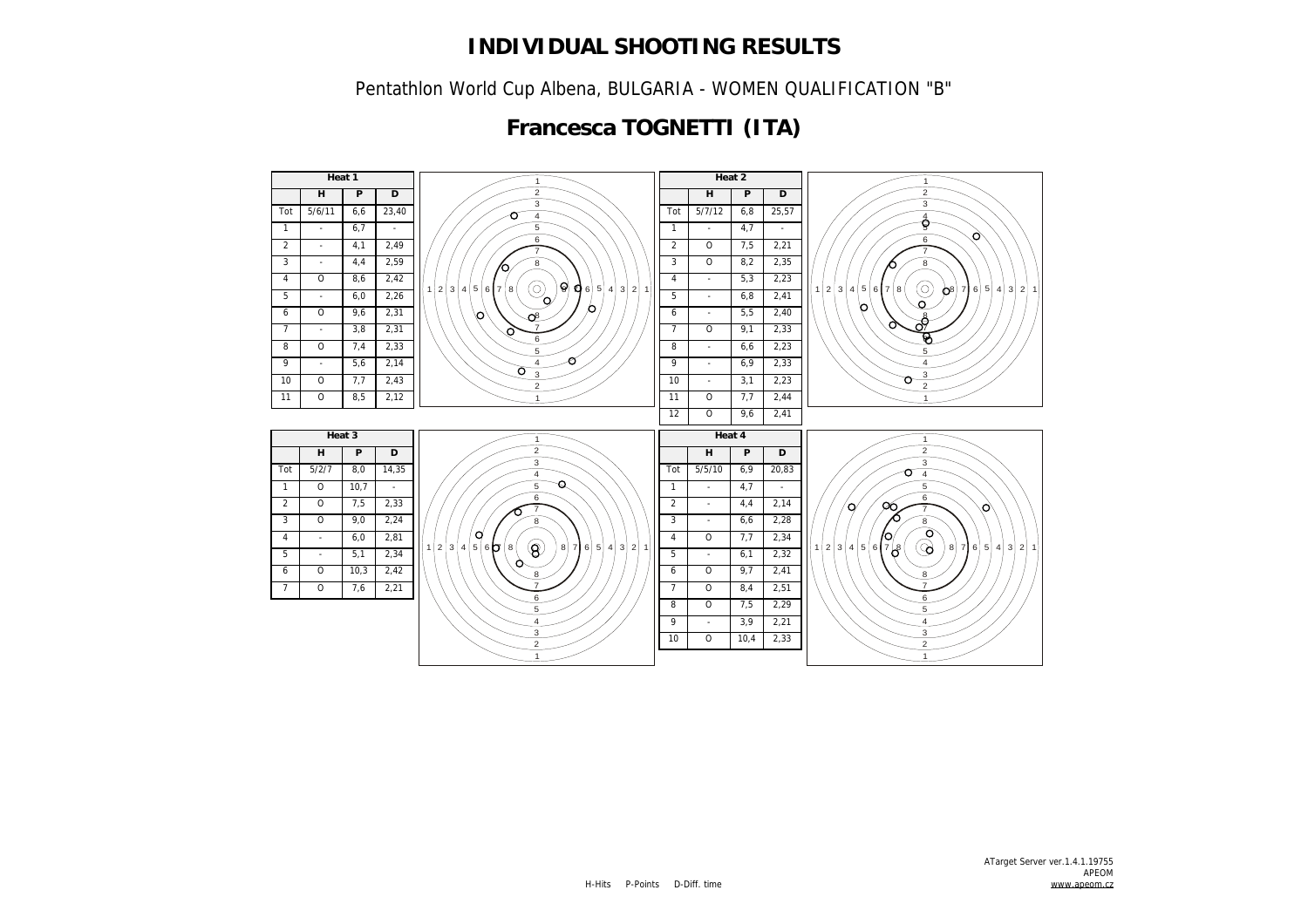Pentathlon World Cup Albena, BULGARIA - WOMEN QUALIFICATION "B"

## **Francesca TOGNETTI (ITA)**

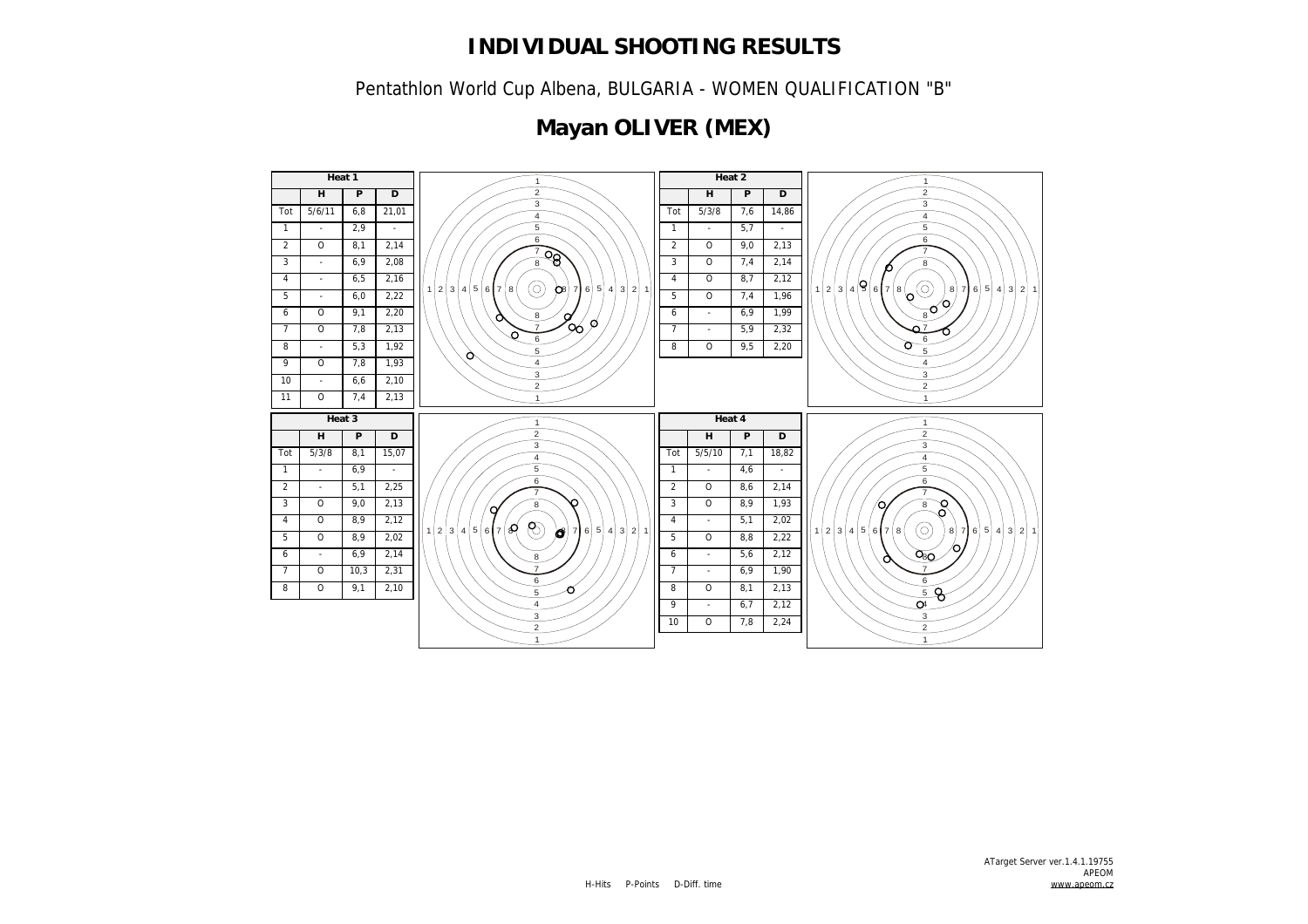Pentathlon World Cup Albena, BULGARIA - WOMEN QUALIFICATION "B"

# **Mayan OLIVER (MEX)**

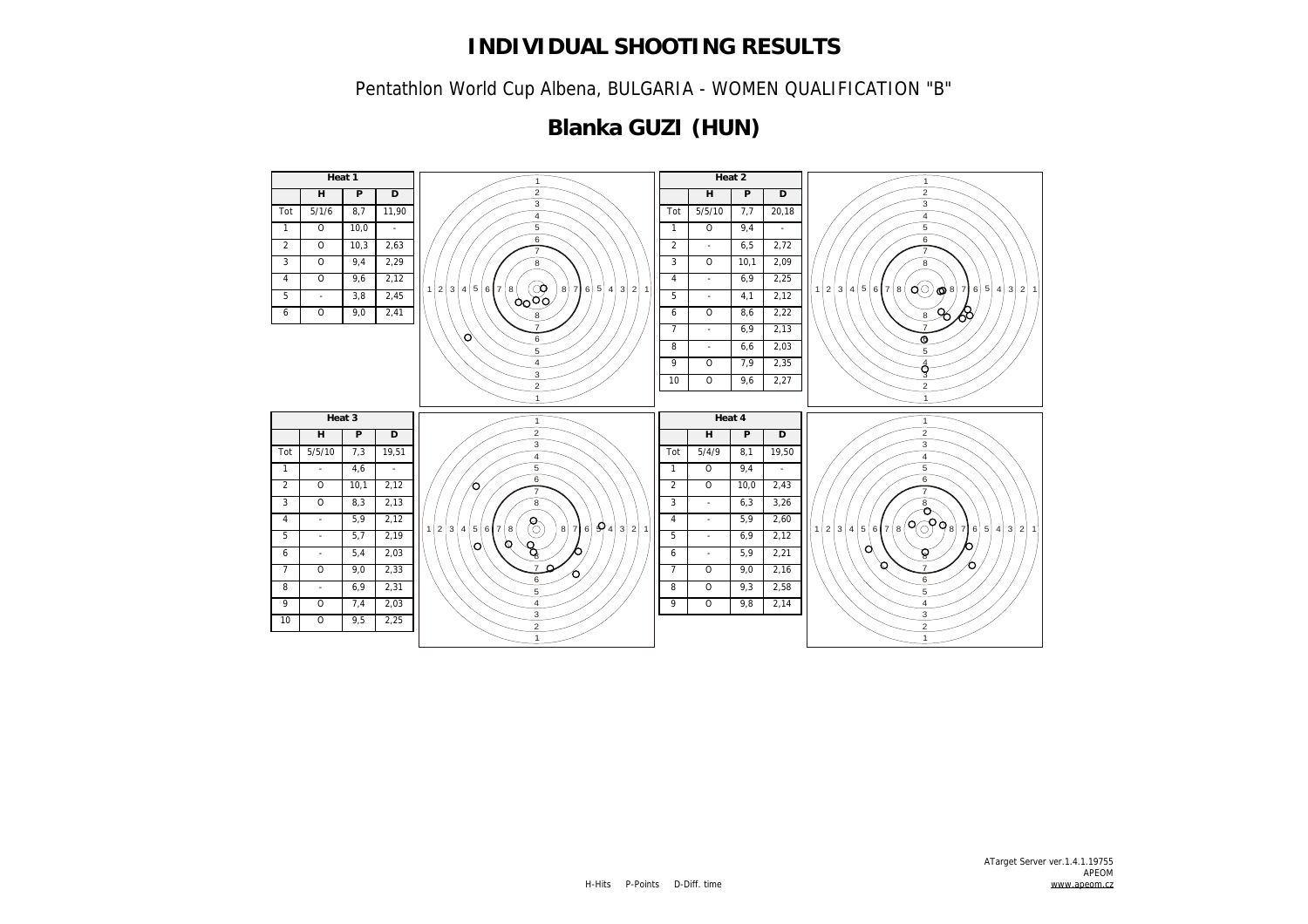Pentathlon World Cup Albena, BULGARIA - WOMEN QUALIFICATION "B"

# **Blanka GUZI (HUN)**

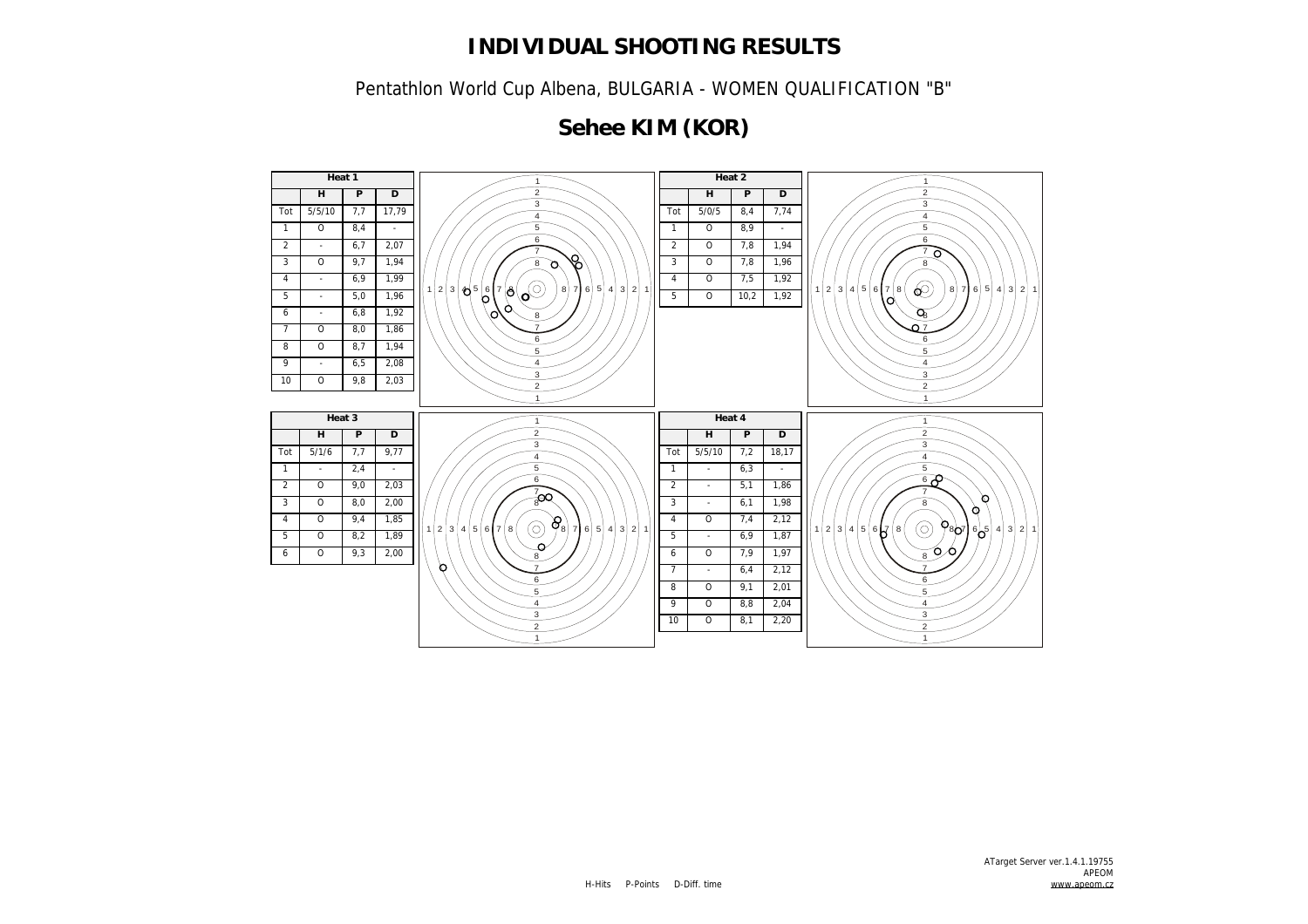Pentathlon World Cup Albena, BULGARIA - WOMEN QUALIFICATION "B"

# **Sehee KIM (KOR)**

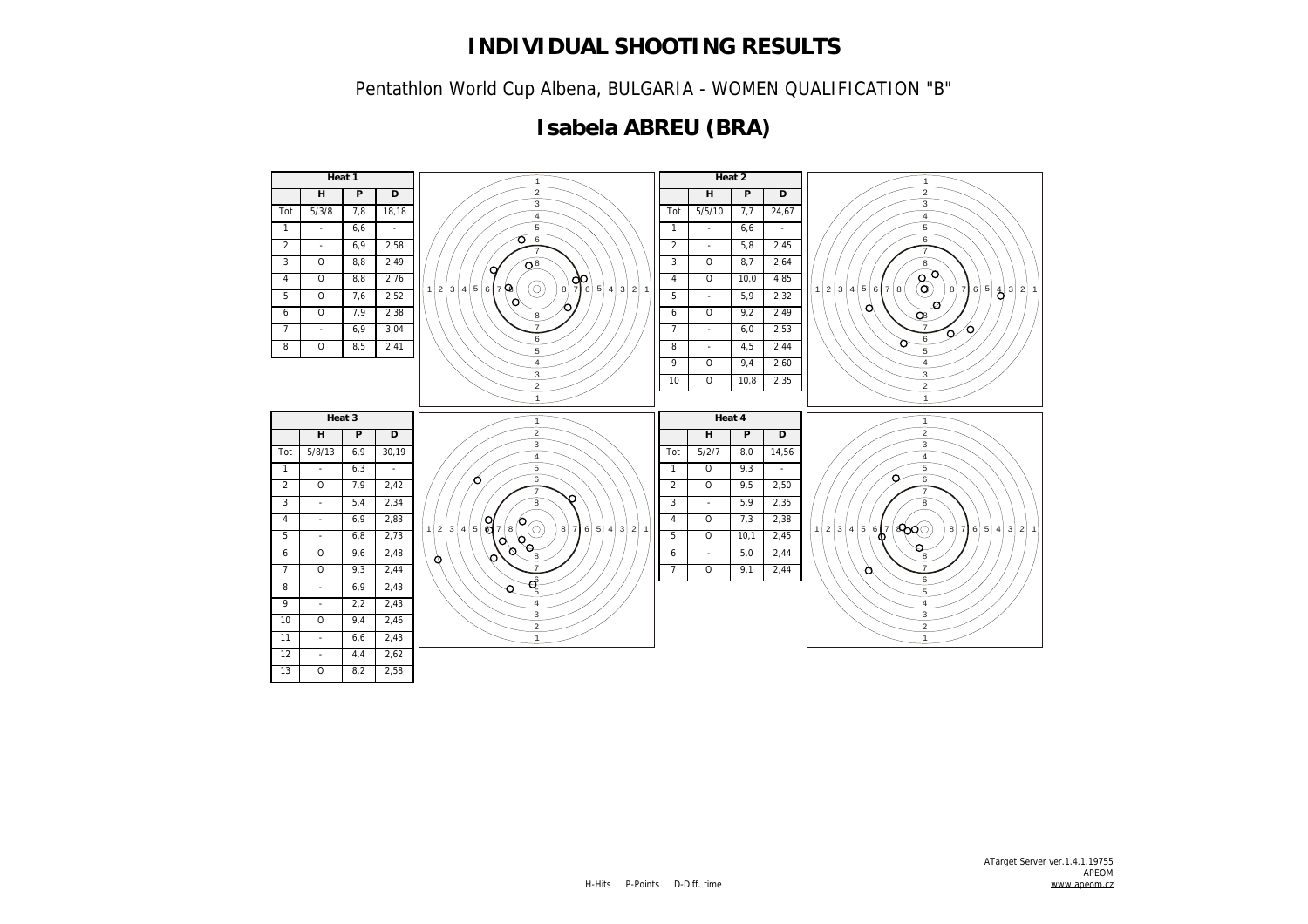Pentathlon World Cup Albena, BULGARIA - WOMEN QUALIFICATION "B"

# **Isabela ABREU (BRA)**

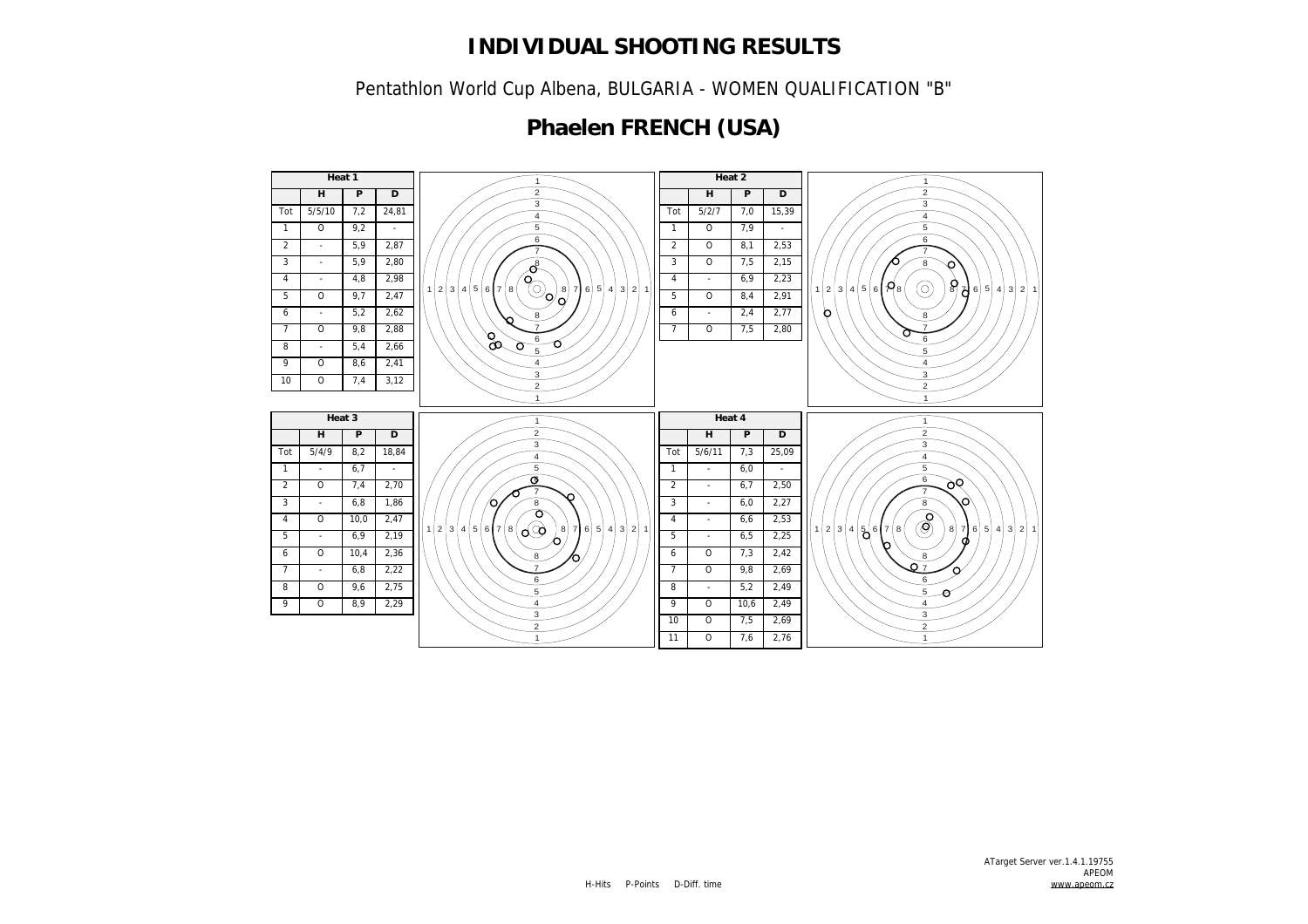Pentathlon World Cup Albena, BULGARIA - WOMEN QUALIFICATION "B"

# **Phaelen FRENCH (USA)**

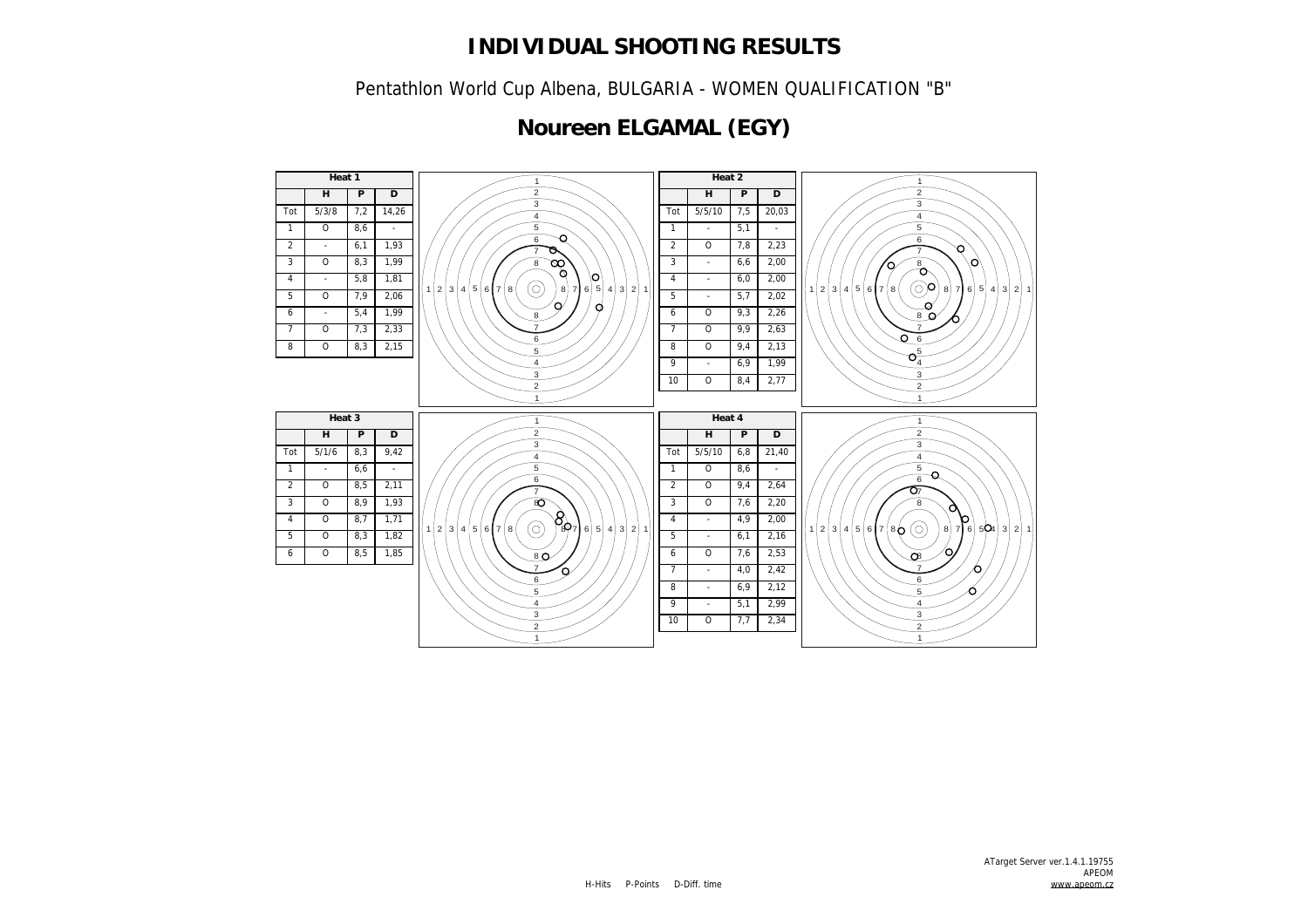Pentathlon World Cup Albena, BULGARIA - WOMEN QUALIFICATION "B"

# **Noureen ELGAMAL (EGY)**

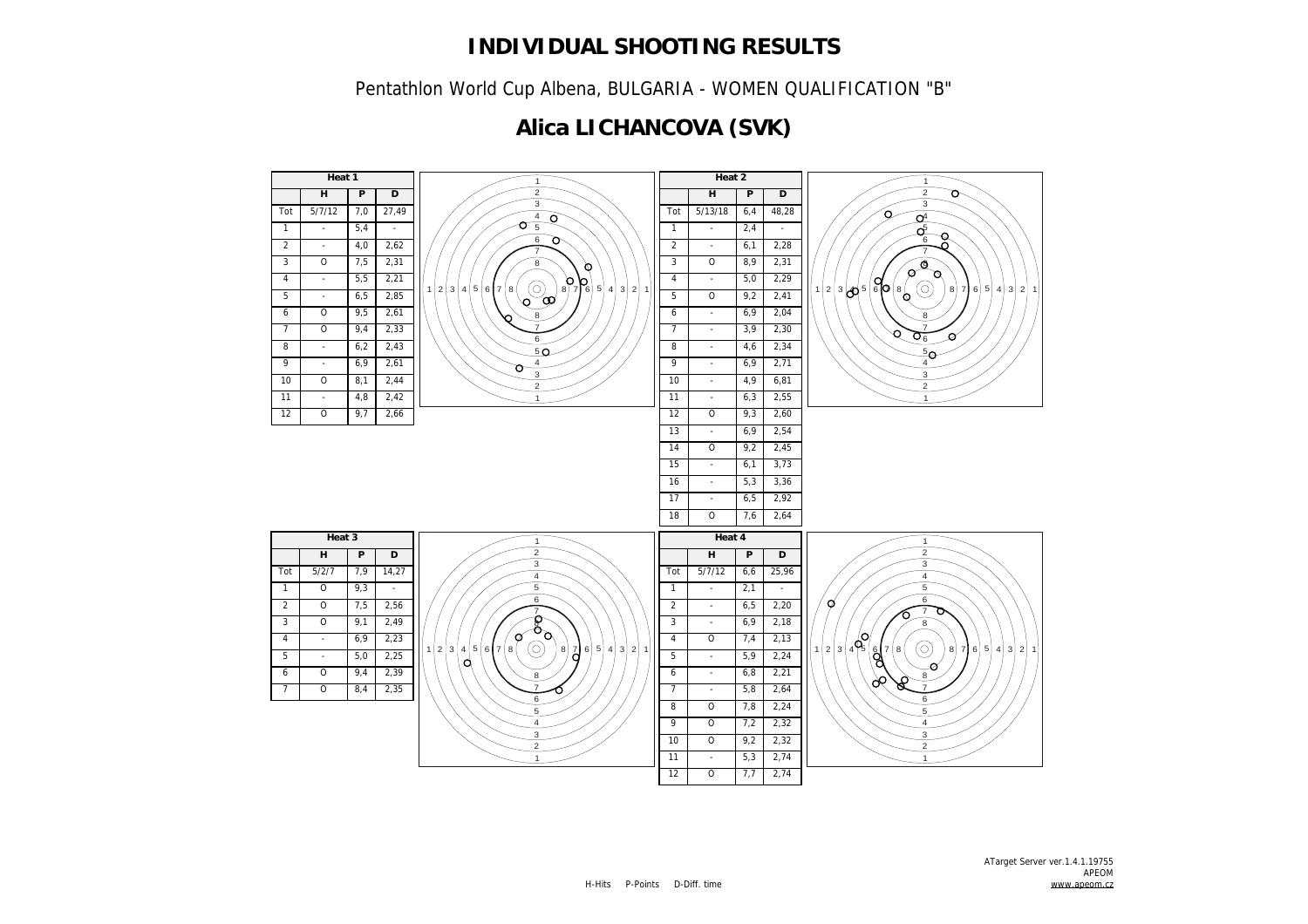Pentathlon World Cup Albena, BULGARIA - WOMEN QUALIFICATION "B"

# **Alica LICHANCOVA (SVK)**

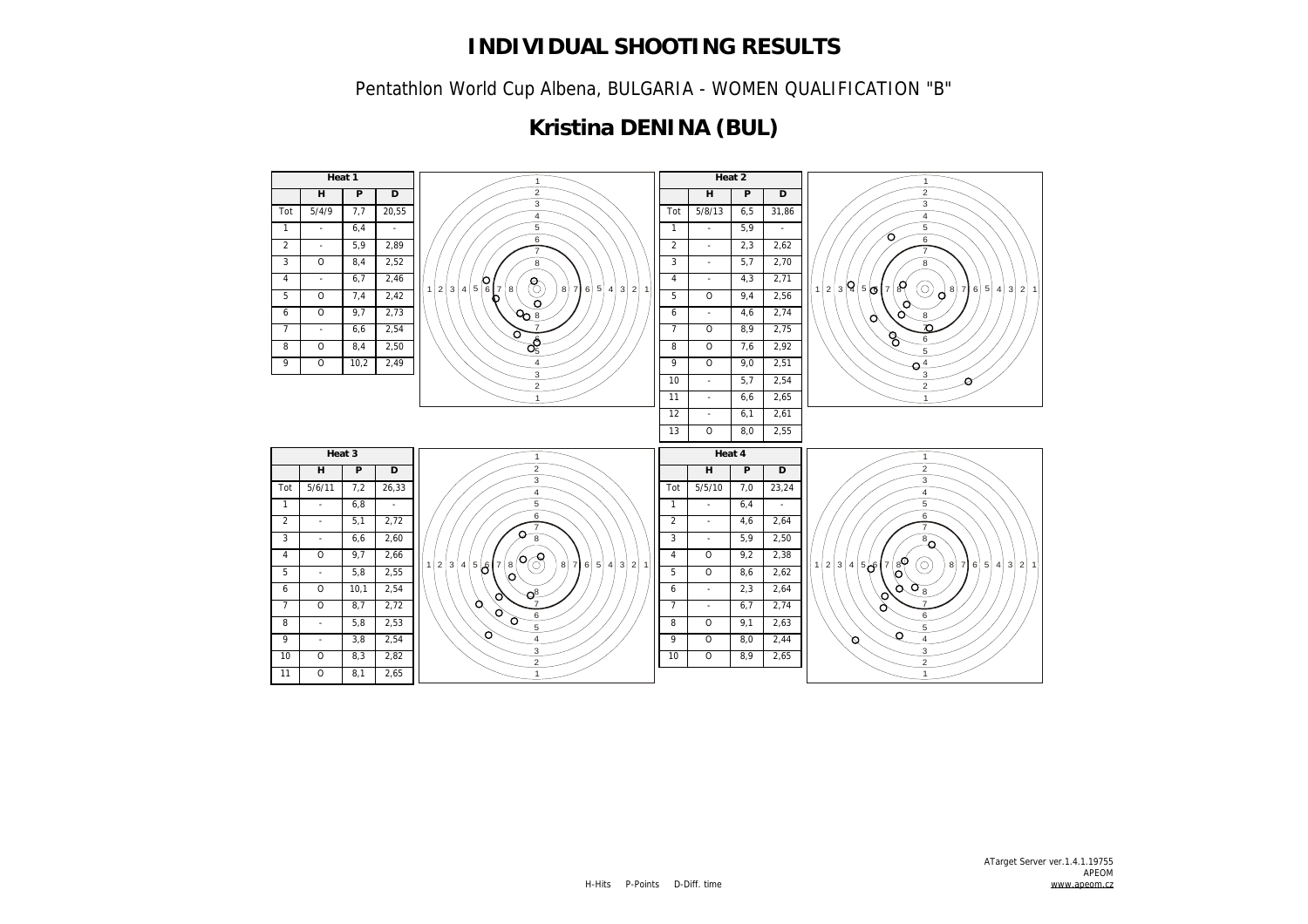Pentathlon World Cup Albena, BULGARIA - WOMEN QUALIFICATION "B"

# **Kristina DENINA (BUL)**

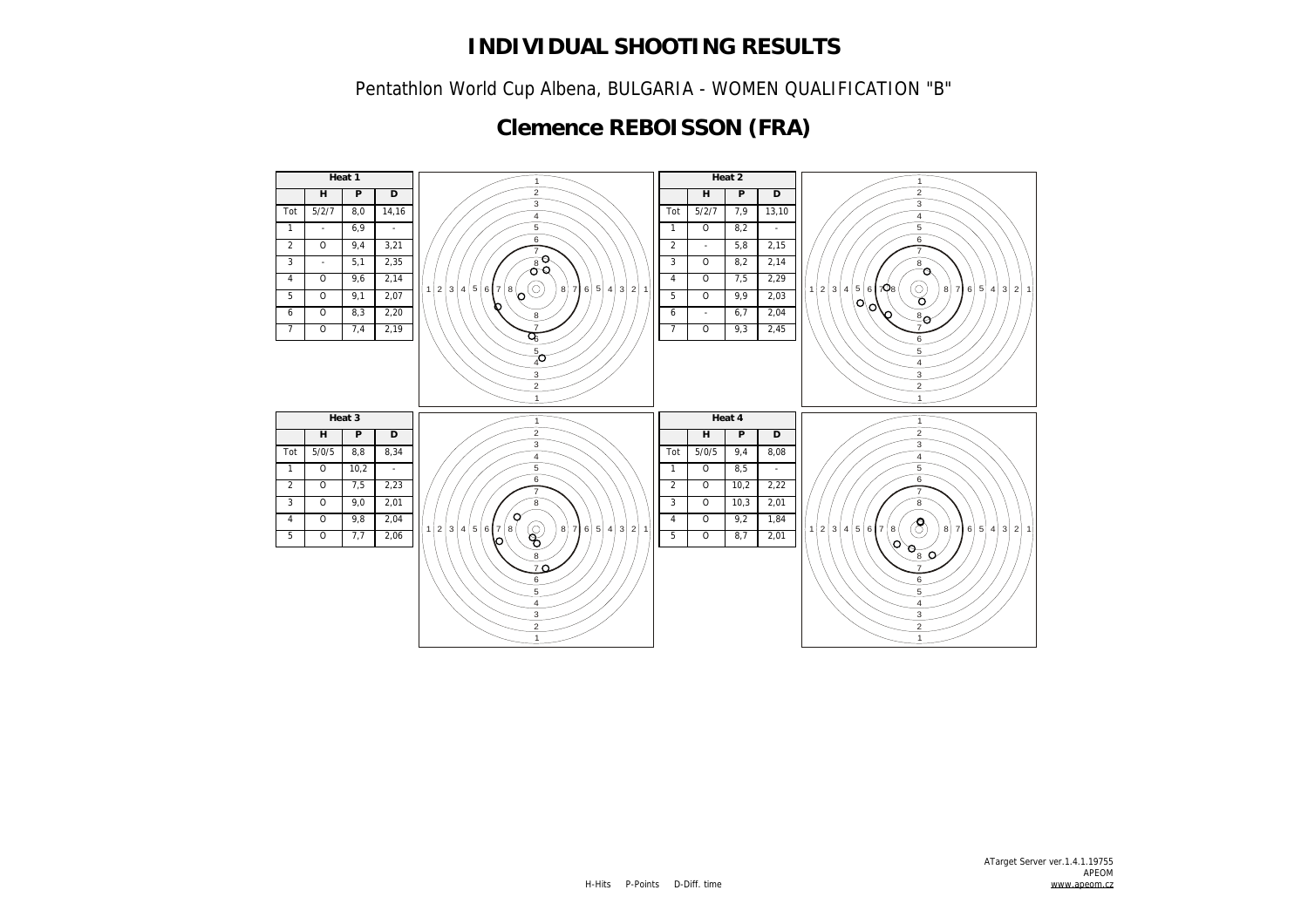Pentathlon World Cup Albena, BULGARIA - WOMEN QUALIFICATION "B"

# **Clemence REBOISSON (FRA)**